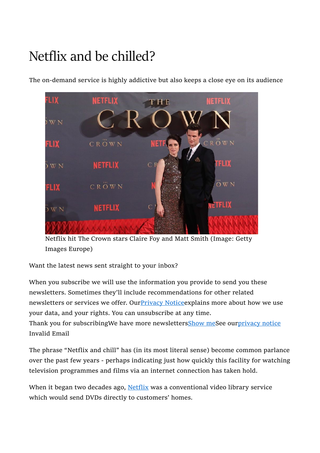## Netflix and be chilled?



The on-demand service is highly addictive but also keeps a close eye on its audience

Netflix hit The Crown stars Claire Foy and Matt Smith (Image: Getty Images Europe)

Want the latest news sent straight to your inbox?

When you subscribe we will use the information you provide to send you these newsletters. Sometimes they'll include recommendations for other related newsletters or services we offer. Our Privacy Notice explains more about how we use your data, and your rights. You can unsubscribe at any time. Thank you for subscribingWe have more newsletters**Show meSee ourprivacy notice** Invalid Email

The phrase "Netflix and chill" has (in its most literal sense) become common parlance over the past few years - perhaps indicating just how quickly this facility for watching television programmes and films via an internet connection has taken hold.

When it began two decades ago, Netflix was a conventional video library service which would send DVDs directly to customers' homes.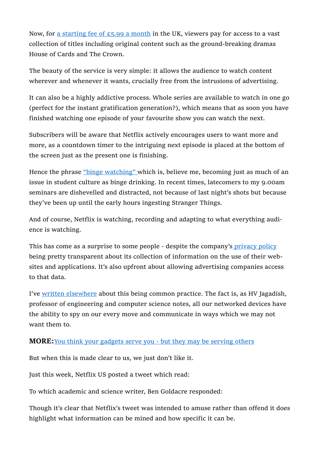Now, for a starting fee of  $E_5.99$  a month in the UK, viewers pay for access to a vast collection of titles including original content such as the ground-breaking dramas House of Cards and The Crown.

The beauty of the service is very simple: it allows the audience to watch content wherever and whenever it wants, crucially free from the intrusions of advertising.

It can also be a highly addictive process. Whole series are available to watch in one go (perfect for the instant gratification generation?), which means that as soon you have finished watching one episode of your favourite show you can watch the next.

Subscribers will be aware that Netflix actively encourages users to want more and more, as a countdown timer to the intriguing next episode is placed at the bottom of the screen just as the present one is finishing.

Hence the phrase "binge watching" which is, believe me, becoming just as much of an issue in student culture as binge drinking. In recent times, latecomers to my 9.00am seminars are dishevelled and distracted, not because of last night's shots but because they've been up until the early hours ingesting Stranger Things.

And of course, Netflix is watching, recording and adapting to what everything audience is watching.

This has come as a surprise to some people - despite the company's privacy policy being pretty transparent about its collection of information on the use of their websites and applications. It's also upfront about allowing advertising companies access to that data.

I've written elsewhere about this being common practice. The fact is, as HV Jagadish, professor of engineering and computer science notes, all our networked devices have the ability to spy on our every move and communicate in ways which we may not want them to.

## MORE:You think your gadgets serve you - but they may be serving others

But when this is made clear to us, we just don't like it.

Just this week, Netflix US posted a tweet which read:

To which academic and science writer, Ben Goldacre responded:

Though it's clear that Netflix's tweet was intended to amuse rather than offend it does highlight what information can be mined and how specific it can be.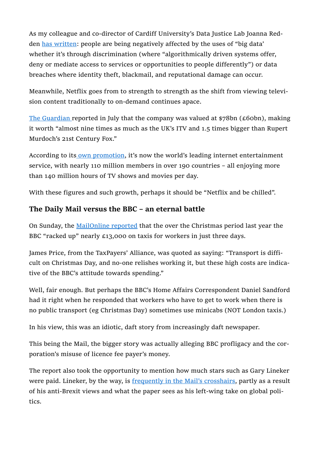As my colleague and co-director of Cardiff University's Data Justice Lab Joanna Redden has written: people are being negatively affected by the uses of "big data' whether it's through discrimination (where "algorithmically driven systems offer, deny or mediate access to services or opportunities to people differently") or data breaches where identity theft, blackmail, and reputational damage can occur.

Meanwhile, Netflix goes from to strength to strength as the shift from viewing television content traditionally to on-demand continues apace.

The Guardian reported in July that the company was valued at  $$78bn$  (£60bn), making it worth "almost nine times as much as the UK's ITV and 1.5 times bigger than Rupert Murdoch's 21st Century Fox."

According to its own promotion, it's now the world's leading internet entertainment service, with nearly 110 million members in over 190 countries – all enjoying more than 140 million hours of TV shows and movies per day.

With these figures and such growth, perhaps it should be "Netflix and be chilled".

## The Daily Mail versus the BBC – an eternal battle

On Sunday, the MailOnline reported that the over the Christmas period last year the BBC "racked up" nearly £13,000 on taxis for workers in just three days.

James Price, from the TaxPayers' Alliance, was quoted as saying: "Transport is difficult on Christmas Day, and no-one relishes working it, but these high costs are indicative of the BBC's attitude towards spending."

Well, fair enough. But perhaps the BBC's Home Affairs Correspondent Daniel Sandford had it right when he responded that workers who have to get to work when there is no public transport (eg Christmas Day) sometimes use minicabs (NOT London taxis.)

In his view, this was an idiotic, daft story from increasingly daft newspaper.

This being the Mail, the bigger story was actually alleging BBC profligacy and the corporation's misuse of licence fee payer's money.

The report also took the opportunity to mention how much stars such as Gary Lineker were paid. Lineker, by the way, is frequently in the Mail's crosshairs, partly as a result of his anti-Brexit views and what the paper sees as his left-wing take on global politics.